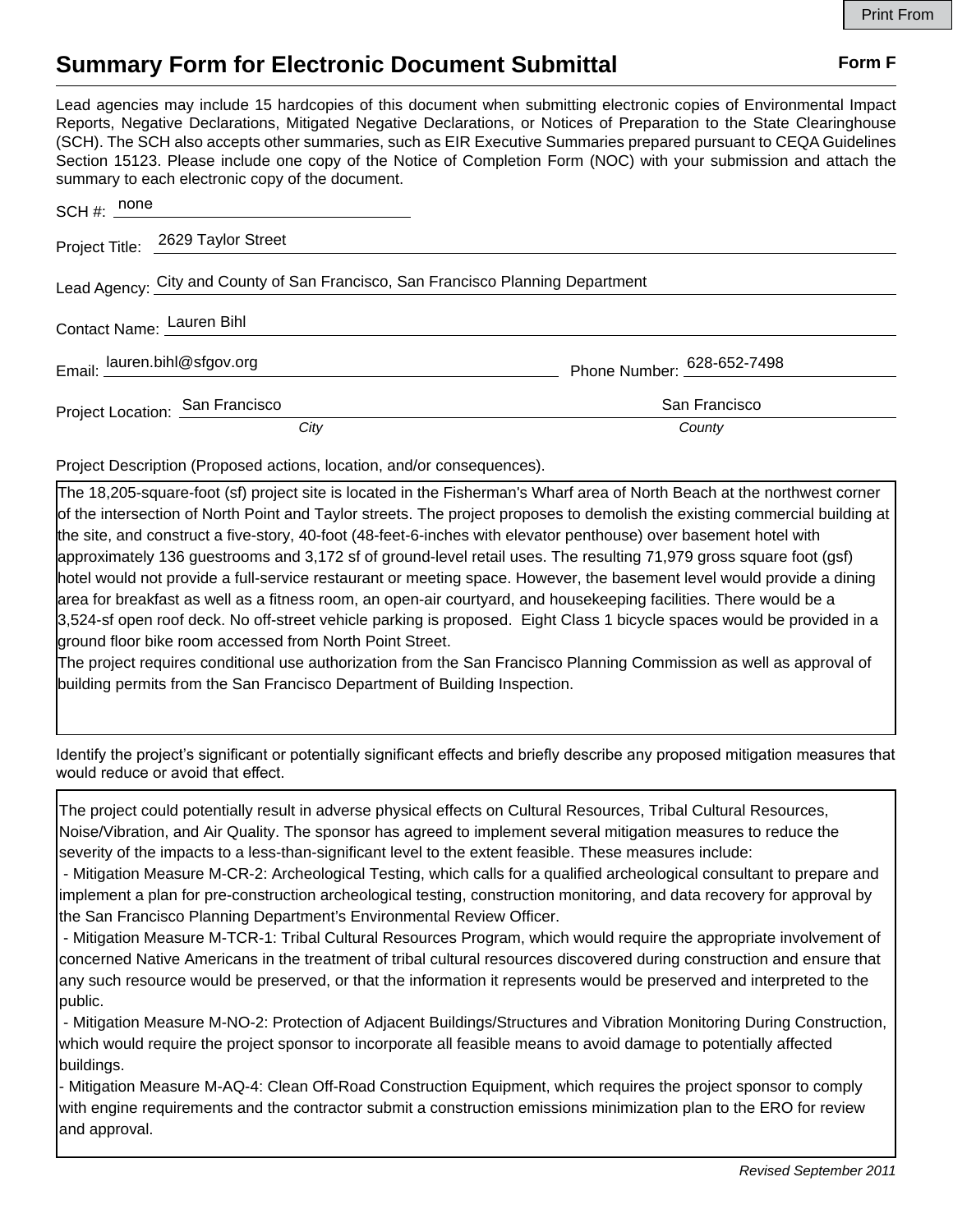## **Summary Form for Electronic Document Submittal Form F Form F**

Lead agencies may include 15 hardcopies of this document when submitting electronic copies of Environmental Impact Reports, Negative Declarations, Mitigated Negative Declarations, or Notices of Preparation to the State Clearinghouse (SCH). The SCH also accepts other summaries, such as EIR Executive Summaries prepared pursuant to CEQA Guidelines Section 15123. Please include one copy of the Notice of Completion Form (NOC) with your submission and attach the summary to each electronic copy of the document.

| $SCH \#: \underline{\hspace{2cm}none}$                                           |                                                                                                                                                                                                                                  |                            |
|----------------------------------------------------------------------------------|----------------------------------------------------------------------------------------------------------------------------------------------------------------------------------------------------------------------------------|----------------------------|
|                                                                                  | Project Title: 2629 Taylor Street                                                                                                                                                                                                |                            |
| Lead Agency: City and County of San Francisco, San Francisco Planning Department |                                                                                                                                                                                                                                  |                            |
|                                                                                  | Contact Name: Lauren Bihl<br>example and the contract name of the contract of the contract of the contract of the contract of the contract of the contract of the contract of the contract of the contract of the contract of th |                            |
| Email: lauren.bihl@sfgov.org                                                     |                                                                                                                                                                                                                                  | Phone Number: 628-652-7498 |
|                                                                                  | Project Location: San Francisco                                                                                                                                                                                                  | San Francisco              |
|                                                                                  | City                                                                                                                                                                                                                             | County                     |

Project Description (Proposed actions, location, and/or consequences).

The 18,205-square-foot (sf) project site is located in the Fisherman's Wharf area of North Beach at the northwest corner of the intersection of North Point and Taylor streets. The project proposes to demolish the existing commercial building at the site, and construct a five-story, 40-foot (48-feet-6-inches with elevator penthouse) over basement hotel with approximately 136 guestrooms and 3,172 sf of ground-level retail uses. The resulting 71,979 gross square foot (gsf) hotel would not provide a full-service restaurant or meeting space. However, the basement level would provide a dining area for breakfast as well as a fitness room, an open-air courtyard, and housekeeping facilities. There would be a 3,524-sf open roof deck. No off-street vehicle parking is proposed. Eight Class 1 bicycle spaces would be provided in a ground floor bike room accessed from North Point Street.

The project requires conditional use authorization from the San Francisco Planning Commission as well as approval of building permits from the San Francisco Department of Building Inspection.

Identify the project's significant or potentially significant effects and briefly describe any proposed mitigation measures that would reduce or avoid that effect.

The project could potentially result in adverse physical effects on Cultural Resources, Tribal Cultural Resources, Noise/Vibration, and Air Quality. The sponsor has agreed to implement several mitigation measures to reduce the severity of the impacts to a less-than-significant level to the extent feasible. These measures include:

 - Mitigation Measure M-CR-2: Archeological Testing, which calls for a qualified archeological consultant to prepare and implement a plan for pre-construction archeological testing, construction monitoring, and data recovery for approval by the San Francisco Planning Department's Environmental Review Officer.

 - Mitigation Measure M-TCR-1: Tribal Cultural Resources Program, which would require the appropriate involvement of concerned Native Americans in the treatment of tribal cultural resources discovered during construction and ensure that any such resource would be preserved, or that the information it represents would be preserved and interpreted to the public.

 - Mitigation Measure M-NO-2: Protection of Adjacent Buildings/Structures and Vibration Monitoring During Construction, which would require the project sponsor to incorporate all feasible means to avoid damage to potentially affected buildings.

- Mitigation Measure M-AQ-4: Clean Off-Road Construction Equipment, which requires the project sponsor to comply with engine requirements and the contractor submit a construction emissions minimization plan to the ERO for review and approval.